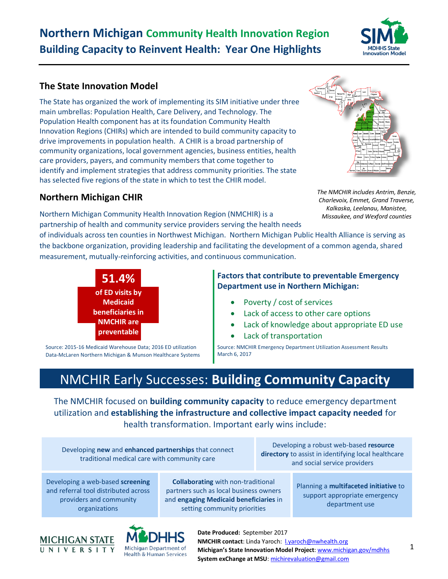# **Northern Michigan Community Health Innovation Region Building Capacity to Reinvent Health: Year One Highlights**



## **The State Innovation Model**

The State has organized the work of implementing its SIM initiative under three main umbrellas: Population Health, Care Delivery, and Technology. The Population Health component has at its foundation Community Health Innovation Regions (CHIRs) which are intended to build community capacity to drive improvements in population health. A CHIR is a broad partnership of community organizations, local government agencies, business entities, health care providers, payers, and community members that come together to identify and implement strategies that address community priorities. The state has selected five regions of the state in which to test the CHIR model.

## **Northern Michigan CHIR**

Northern Michigan Community Health Innovation Region (NMCHIR) is a partnership of health and community service providers serving the health needs

of individuals across ten counties in Northwest Michigan. Northern Michigan Public Health Alliance is serving as the backbone organization, providing leadership and facilitating the development of a common agenda, shared measurement, mutually-reinforcing activities, and continuous communication.



Source: 2015-16 Medicaid Warehouse Data; 2016 ED utilization Data-McLaren Northern Michigan & Munson Healthcare Systems **Factors that contribute to preventable Emergency Department use in Northern Michigan:**

- Poverty / cost of services
- Lack of access to other care options
- Lack of knowledge about appropriate ED use
- Lack of transportation

Source: NMCHIR Emergency Department Utilization Assessment Results March 6, 2017

# NMCHIR Early Successes: **Building Community Capacity**

The NMCHIR focused on **building community capacity** to reduce emergency department utilization and **establishing the infrastructure and collective impact capacity needed** for health transformation. Important early wins include:

Developing **new** and **enhanced partnerships** that connect traditional medical care with community care

Developing a robust web-based **resource directory** to assist in identifying local healthcare and social service providers

Developing a web-based **screening** and referral tool distributed across providers and community organizations

**Collaborating** with non-traditional partners such as local business owners and **engaging Medicaid beneficiaries** in setting community priorities

Planning a **multifaceted initiative** to support appropriate emergency department use

1



**Date Produced:** September 2017 **NMCHIR contact:** Linda Yaroch: **Lyaroch@nwhealth.org Michigan's State Innovation Model Project**[: www.michigan.gov/mdhhs](http://www.michigan.gov/mdhhs) **System exChange at MSU**: [michirevaluation@gmail.com](mailto:michirevaluation@gmail.com)

*The NMCHIR includes Antrim, Benzie, Charlevoix, Emmet, Grand Traverse, Kalkaska, Leelanau, Manistee,* 

*Missaukee, and Wexford counties*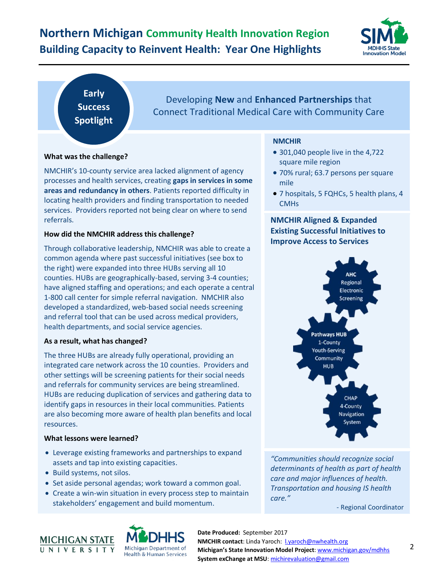# **Northern Michigan Community Health Innovation Region Building Capacity to Reinvent Health: Year One Highlights**



**Early Success Spotlight**

Developing **New** and **Enhanced Partnerships** that Connect Traditional Medical Care with Community Care

### **What was the challenge?**

NMCHIR's 10-county service area lacked alignment of agency processes and health services, creating **gaps in services in some areas and redundancy in others**. Patients reported difficulty in locating health providers and finding transportation to needed services. Providers reported not being clear on where to send referrals.

### **How did the NMCHIR address this challenge?**

Through collaborative leadership, NMCHIR was able to create a common agenda where past successful initiatives (see box to the right) were expanded into three HUBs serving all 10 counties. HUBs are geographically-based, serving 3-4 counties; have aligned staffing and operations; and each operate a central 1-800 call center for simple referral navigation. NMCHIR also developed a standardized, web-based social needs screening and referral tool that can be used across medical providers, health departments, and social service agencies.

### **As a result, what has changed?**

The three HUBs are already fully operational, providing an integrated care network across the 10 counties. Providers and other settings will be screening patients for their social needs and referrals for community services are being streamlined. HUBs are reducing duplication of services and gathering data to identify gaps in resources in their local communities. Patients are also becoming more aware of health plan benefits and local resources.

### **What lessons were learned?**

- Leverage existing frameworks and partnerships to expand assets and tap into existing capacities.
- Build systems, not silos.
- Set aside personal agendas; work toward a common goal.
- Create a win-win situation in every process step to maintain stakeholders' engagement and build momentum.

## **NMCHIR**

- 301,040 people live in the 4,722 square mile region
- 70% rural; 63.7 persons per square mile
- 7 hospitals, 5 FQHCs, 5 health plans, 4 CMHs

## **NMCHIR Aligned & Expanded Existing Successful Initiatives to Improve Access to Services**



*"Communities should recognize social determinants of health as part of health care and major influences of health. Transportation and housing IS health care."* 

- Regional Coordinator





**Date Produced:** September 2017 **NMCHIR contact:** Linda Yaroch: **Lyaroch@nwhealth.org Michigan's State Innovation Model Project**[: www.michigan.gov/mdhhs](http://www.michigan.gov/mdhhs) **System exChange at MSU**: [michirevaluation@gmail.com](mailto:michirevaluation@gmail.com)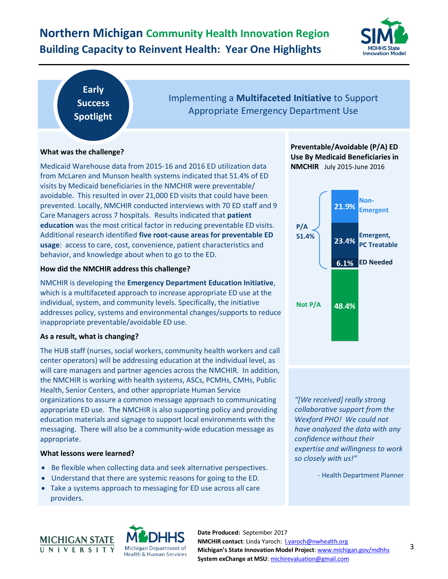# **Northern Michigan Community Health Innovation Region Building Capacity to Reinvent Health: Year One Highlights**



## **Early Success Spotlight**

## Implementing a **Multifaceted Initiative** to Support Appropriate Emergency Department Use

### **What was the challenge?**

Medicaid Warehouse data from 2015-16 and 2016 ED utilization data from McLaren and Munson health systems indicated that 51.4% of ED visits by Medicaid beneficiaries in the NMCHIR were preventable/ avoidable. This resulted in over 21,000 ED visits that could have been prevented. Locally, NMCHIR conducted interviews with 70 ED staff and 9 Care Managers across 7 hospitals. Results indicated that **patient education** was the most critical factor in reducing preventable ED visits. Additional research identified **five root-cause areas for preventable ED usage**: access to care, cost, convenience, patient characteristics and behavior, and knowledge about when to go to the ED.

### **How did the NMCHIR address this challenge?**

NMCHIR is developing the **Emergency Department Education Initiative**, which is a multifaceted approach to increase appropriate ED use at the individual, system, and community levels. Specifically, the initiative addresses policy, systems and environmental changes/supports to reduce inappropriate preventable/avoidable ED use.

### **As a result, what is changing?**

The HUB staff (nurses, social workers, community health workers and call center operators) will be addressing education at the individual level, as will care managers and partner agencies across the NMCHIR. In addition, the NMCHIR is working with health systems, ASCs, PCMHs, CMHs, Public Health, Senior Centers, and other appropriate Human Service organizations to assure a common message approach to communicating appropriate ED use. The NMCHIR is also supporting policy and providing education materials and signage to support local environments with the messaging. There will also be a community-wide education message as appropriate.

### **What lessons were learned?**

- Be flexible when collecting data and seek alternative perspectives.
- Understand that there are systemic reasons for going to the ED.
- Take a systems approach to messaging for ED use across all care providers.





**Date Produced:** September 2017 **NMCHIR contact:** Linda Yaroch: **Lyaroch@nwhealth.org Michigan's State Innovation Model Project**[: www.michigan.gov/mdhhs](http://www.michigan.gov/mdhhs) **System exChange at MSU**: [michirevaluation@gmail.com](mailto:michirevaluation@gmail.com)





*"[We received] really strong collaborative support from the Wexford PHO! We could not have analyzed the data with any confidence without their expertise and willingness to work so closely with us!"*

- Health Department Planner